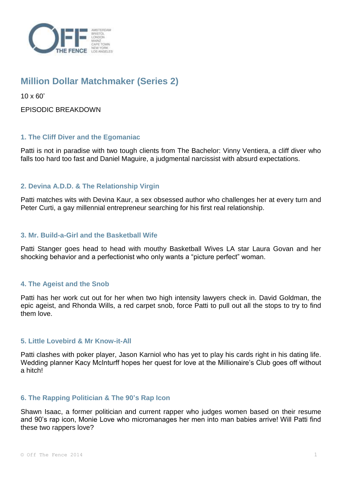

# **Million Dollar Matchmaker (Series 2)**

10 x 60'

EPISODIC BREAKDOWN

## **1. The Cliff Diver and the Egomaniac**

Patti is not in paradise with two tough clients from The Bachelor: Vinny Ventiera, a cliff diver who falls too hard too fast and Daniel Maguire, a judgmental narcissist with absurd expectations.

### **2. Devina A.D.D. & The Relationship Virgin**

Patti matches wits with Devina Kaur, a sex obsessed author who challenges her at every turn and Peter Curti, a gay millennial entrepreneur searching for his first real relationship.

#### **3. Mr. Build-a-Girl and the Basketball Wife**

Patti Stanger goes head to head with mouthy Basketball Wives LA star Laura Govan and her shocking behavior and a perfectionist who only wants a "picture perfect" woman.

## **4. The Ageist and the Snob**

Patti has her work cut out for her when two high intensity lawyers check in. David Goldman, the epic ageist, and Rhonda Wills, a red carpet snob, force Patti to pull out all the stops to try to find them love.

#### **5. Little Lovebird & Mr Know-it-All**

Patti clashes with poker player, Jason Karniol who has yet to play his cards right in his dating life. Wedding planner Kacy McInturff hopes her quest for love at the Millionaire's Club goes off without a hitch!

#### **6. The Rapping Politician & The 90's Rap Icon**

Shawn Isaac, a former politician and current rapper who judges women based on their resume and 90's rap icon, Monie Love who micromanages her men into man babies arrive! Will Patti find these two rappers love?